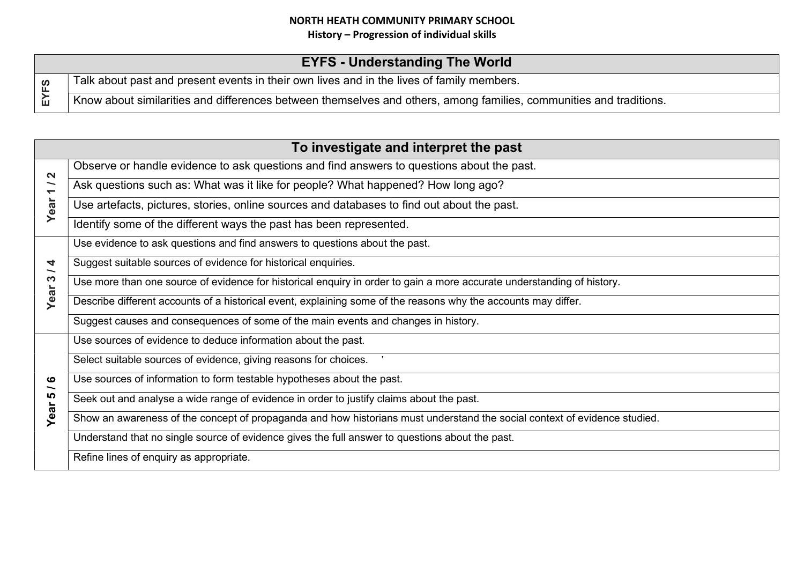## NORTH HEATH COMMUNITY PRIMARY SCHOOL

History – Progression of individual skills

|                | <b>EYFS - Understanding The World</b>                                                                              |
|----------------|--------------------------------------------------------------------------------------------------------------------|
| <u>၉၃</u><br>ш | Talk about past and present events in their own lives and in the lives of family members.                          |
|                | Know about similarities and differences between themselves and others, among families, communities and traditions. |

|                                                                                   | To investigate and interpret the past                                                                                     |  |  |
|-----------------------------------------------------------------------------------|---------------------------------------------------------------------------------------------------------------------------|--|--|
| $\mathbf{\Omega}$<br>$\overline{\phantom{0}}$<br>$\overline{\phantom{0}}$<br>Year | Observe or handle evidence to ask questions and find answers to questions about the past.                                 |  |  |
|                                                                                   | Ask questions such as: What was it like for people? What happened? How long ago?                                          |  |  |
|                                                                                   | Use artefacts, pictures, stories, online sources and databases to find out about the past.                                |  |  |
|                                                                                   | Identify some of the different ways the past has been represented.                                                        |  |  |
| 4<br>$\overline{\phantom{0}}$<br>S<br>Year                                        | Use evidence to ask questions and find answers to questions about the past.                                               |  |  |
|                                                                                   | Suggest suitable sources of evidence for historical enquiries.                                                            |  |  |
|                                                                                   | Use more than one source of evidence for historical enquiry in order to gain a more accurate understanding of history.    |  |  |
|                                                                                   | Describe different accounts of a historical event, explaining some of the reasons why the accounts may differ.            |  |  |
|                                                                                   | Suggest causes and consequences of some of the main events and changes in history.                                        |  |  |
| ဖ<br>∽<br>Year                                                                    | Use sources of evidence to deduce information about the past.                                                             |  |  |
|                                                                                   | Select suitable sources of evidence, giving reasons for choices.                                                          |  |  |
|                                                                                   | Use sources of information to form testable hypotheses about the past.                                                    |  |  |
|                                                                                   | Seek out and analyse a wide range of evidence in order to justify claims about the past.                                  |  |  |
|                                                                                   | Show an awareness of the concept of propaganda and how historians must understand the social context of evidence studied. |  |  |
|                                                                                   | Understand that no single source of evidence gives the full answer to questions about the past.                           |  |  |
|                                                                                   | Refine lines of enquiry as appropriate.                                                                                   |  |  |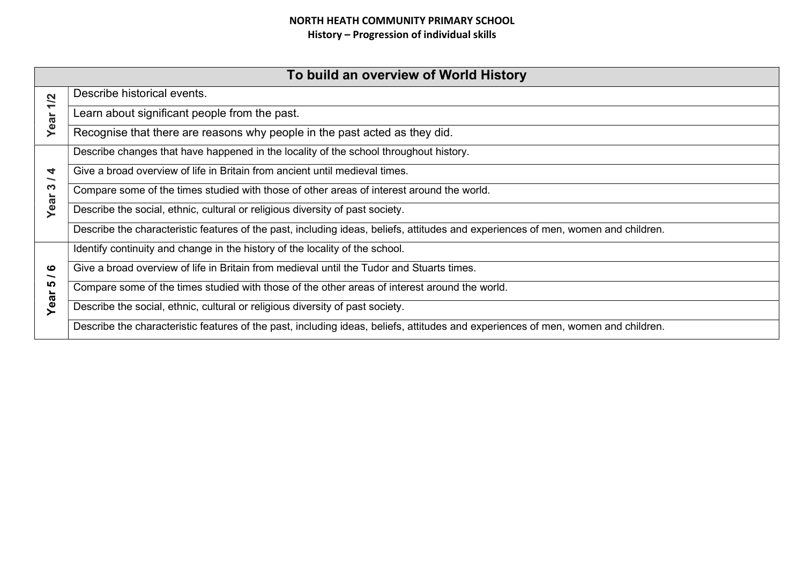## NORTH HEATH COMMUNITY PRIMARY SCHOOL History – Progression of individual skills

| To build an overview of World History |                                                                                                                                   |  |
|---------------------------------------|-----------------------------------------------------------------------------------------------------------------------------------|--|
| 1/2<br>Year                           | Describe historical events.                                                                                                       |  |
|                                       | Learn about significant people from the past.                                                                                     |  |
|                                       | Recognise that there are reasons why people in the past acted as they did.                                                        |  |
| 4<br>က<br>Year                        | Describe changes that have happened in the locality of the school throughout history.                                             |  |
|                                       | Give a broad overview of life in Britain from ancient until medieval times.                                                       |  |
|                                       | Compare some of the times studied with those of other areas of interest around the world.                                         |  |
|                                       | Describe the social, ethnic, cultural or religious diversity of past society.                                                     |  |
|                                       | Describe the characteristic features of the past, including ideas, beliefs, attitudes and experiences of men, women and children. |  |
| ဖ<br><u> ဟ</u><br>Year                | Identify continuity and change in the history of the locality of the school.                                                      |  |
|                                       | Give a broad overview of life in Britain from medieval until the Tudor and Stuarts times.                                         |  |
|                                       | Compare some of the times studied with those of the other areas of interest around the world.                                     |  |
|                                       | Describe the social, ethnic, cultural or religious diversity of past society.                                                     |  |
|                                       | Describe the characteristic features of the past, including ideas, beliefs, attitudes and experiences of men, women and children. |  |